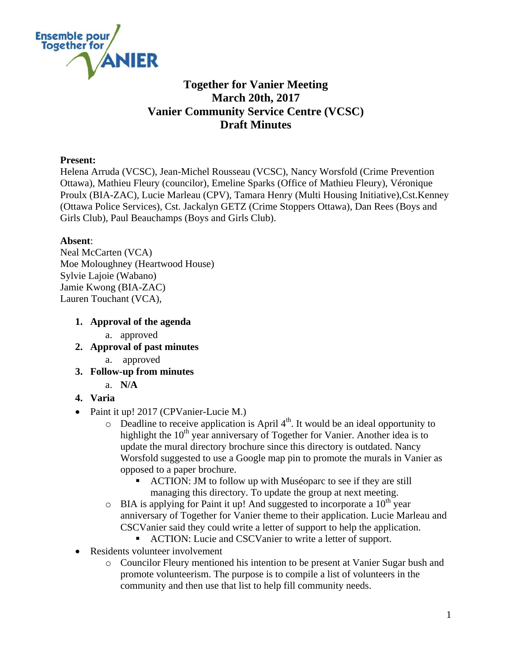

# **Together for Vanier Meeting March 20th, 2017 Vanier Community Service Centre (VCSC) Draft Minutes**

#### **Present:**

Helena Arruda (VCSC), Jean-Michel Rousseau (VCSC), Nancy Worsfold (Crime Prevention Ottawa), Mathieu Fleury (councilor), Emeline Sparks (Office of Mathieu Fleury), Véronique Proulx (BIA-ZAC), Lucie Marleau (CPV), Tamara Henry (Multi Housing Initiative),Cst.Kenney (Ottawa Police Services), Cst. Jackalyn GETZ (Crime Stoppers Ottawa), Dan Rees (Boys and Girls Club), Paul Beauchamps (Boys and Girls Club).

#### **Absent**:

Neal McCarten (VCA) Moe Moloughney (Heartwood House) Sylvie Lajoie (Wabano) Jamie Kwong (BIA-ZAC) Lauren Touchant (VCA),

### **1. Approval of the agenda**

- a. approved
- **2. Approval of past minutes** 
	- a. approved
- **3. Follow-up from minutes**
	- a. **N/A**
- **4. Varia**
- Paint it up! 2017 (CPVanier-Lucie M.)
	- $\circ$  Deadline to receive application is April 4<sup>th</sup>. It would be an ideal opportunity to highlight the  $10<sup>th</sup>$  year anniversary of Together for Vanier. Another idea is to update the mural directory brochure since this directory is outdated. Nancy Worsfold suggested to use a Google map pin to promote the murals in Vanier as opposed to a paper brochure.
		- ACTION: JM to follow up with Muséoparc to see if they are still managing this directory. To update the group at next meeting.
	- $\circ$  BIA is applying for Paint it up! And suggested to incorporate a 10<sup>th</sup> year anniversary of Together for Vanier theme to their application. Lucie Marleau and CSCVanier said they could write a letter of support to help the application.
		- ACTION: Lucie and CSCVanier to write a letter of support.
- Residents volunteer involvement
	- o Councilor Fleury mentioned his intention to be present at Vanier Sugar bush and promote volunteerism. The purpose is to compile a list of volunteers in the community and then use that list to help fill community needs.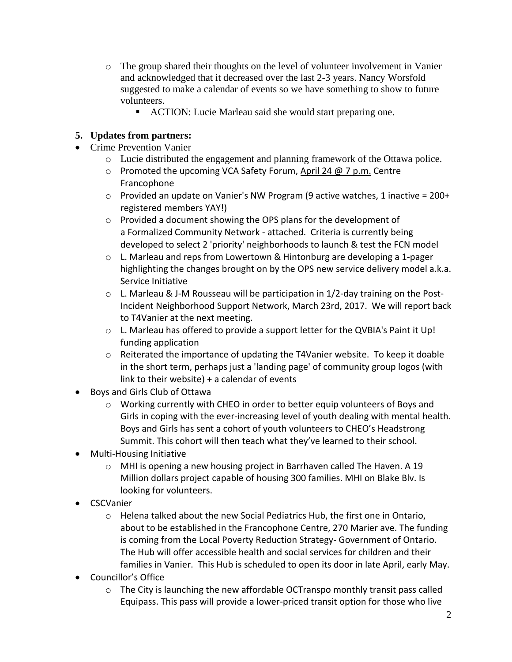- o The group shared their thoughts on the level of volunteer involvement in Vanier and acknowledged that it decreased over the last 2-3 years. Nancy Worsfold suggested to make a calendar of events so we have something to show to future volunteers.
	- ACTION: Lucie Marleau said she would start preparing one.

## **5. Updates from partners:**

- Crime Prevention Vanier
	- o Lucie distributed the engagement and planning framework of the Ottawa police.
	- $\circ$  Promoted the upcoming VCA Safety Forum, [April 24 @ 7 p.m.](http://x-apple-data-detectors/0) Centre Francophone
	- $\circ$  Provided an update on Vanier's NW Program (9 active watches, 1 inactive = 200+ registered members YAY!)
	- o Provided a document showing the OPS plans for the development of a Formalized Community Network - attached. Criteria is currently being developed to select 2 'priority' neighborhoods to launch & test the FCN model
	- $\circ$  L. Marleau and reps from Lowertown & Hintonburg are developing a 1-pager highlighting the changes brought on by the OPS new service delivery model a.k.a. Service Initiative
	- o L. Marleau & J-M Rousseau will be participation in 1/2-day training on the Post-Incident Neighborhood Support Network, March 23rd, 2017. We will report back to T4Vanier at the next meeting.
	- o L. Marleau has offered to provide a support letter for the QVBIA's Paint it Up! funding application
	- $\circ$  Reiterated the importance of updating the T4Vanier website. To keep it doable in the short term, perhaps just a 'landing page' of community group logos (with link to their website) + a calendar of events
- Boys and Girls Club of Ottawa
	- o Working currently with CHEO in order to better equip volunteers of Boys and Girls in coping with the ever-increasing level of youth dealing with mental health. Boys and Girls has sent a cohort of youth volunteers to CHEO's Headstrong Summit. This cohort will then teach what they've learned to their school.
- Multi-Housing Initiative
	- $\circ$  MHI is opening a new housing project in Barrhaven called The Haven. A 19 Million dollars project capable of housing 300 families. MHI on Blake Blv. Is looking for volunteers.
- CSCVanier
	- $\circ$  Helena talked about the new Social Pediatrics Hub, the first one in Ontario, about to be established in the Francophone Centre, 270 Marier ave. The funding is coming from the Local Poverty Reduction Strategy- Government of Ontario. The Hub will offer accessible health and social services for children and their families in Vanier. This Hub is scheduled to open its door in late April, early May.
- Councillor's Office
	- $\circ$  The City is launching the new affordable OCTranspo monthly transit pass called Equipass. This pass will provide a lower-priced transit option for those who live